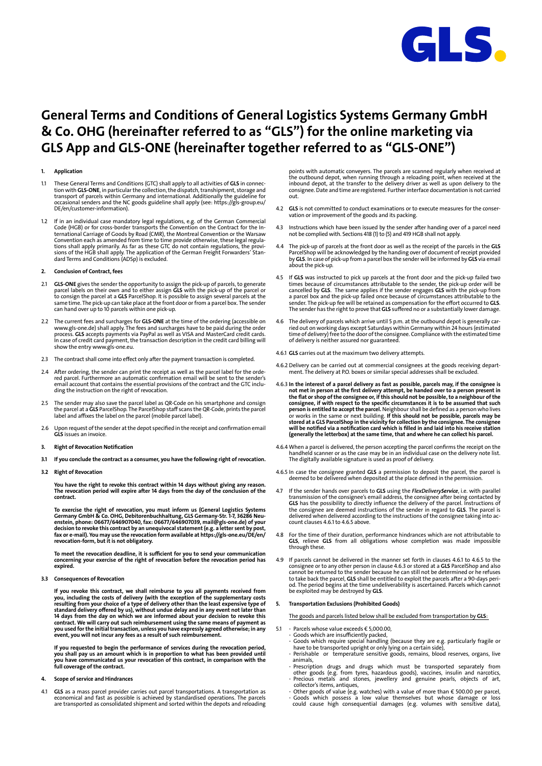

# **General Terms and Conditions of General Logistics Systems Germany GmbH & Co. OHG (hereinafter referred to as "GLS") for the online marketing via GLS App and GLS-ONE (hereinafter together referred to as "GLS-ONE")**

# **1. Application**

- 1.1 These General Terms and Conditions (GTC) shall apply to all activities of **GLS** in connection with **GLS-ONE**, in particular the collection, the dispatch, transhipment, storage and<br>transport of parcels within Germany and international. Additionally the guideline for<br>occasional senders and the NC goods guideline DE/en/customer-information).
- 1.2 If in an individual case mandatory legal regulations, e.g. of the German Commercial Code (HGB) or for cross-border transports the Convention on the Contract for the International Carriage of Goods by Road (CMR), the Montreal Convention or the Warsaw<br>Convention each as amended from time to time provide otherwise, these legal regula:<br>tions shall apply primarily. As far as these GTC do not dard Terms and Conditions (ADSp) is excluded.

## **2. Conclusion of Contract, fees**

- 2.1 **GLS-ONE** gives the sender the opportunity to assign the pick-up of parcels, to generate parcel labels on their own and to either assign **GLS** with the pick-up of the parcel or<br>to consign the parcel at a **GLS** ParcelShop. It is possible to assign several parcels at the<br>same time. The pick-up can take place at
- 2.2 The current fees and surcharges for **GLS-ONE** at the time of the ordering (accessible on www.gls-one.de) shall apply. The fees and surcharges have to be paid during the order<br>process. **GLS** accepts payments via PayPal as well as VISA and MasterCard credit cards.<br>In case of credit card payment, the transaction show the entry www.gls-one.eu.
- 2.3 The contract shall come into effect only after the payment transaction is completed.
- 2.4 After ordering, the sender can print the receipt as well as the parcel label for the orde-red parcel. Furthermore an automatic confirmation email will be sent to the sender's email account that contains the essential provisions of the contract and the GTC including the instruction on the right of revocation.
- 2.5 The sender may also save the parcel label as QR-Code on his smartphone and consign<br>the parcel at **GLS** ParcelShop. The ParcelShop staff scans the QR-Code, prints the parcel<br>label and affixes the label on the parcel (mo
- 2.6 Upon request of the sender at the depot specified in the receipt and confirmation email **GLS** issues an invoice.

# **3. Right of Revocation Notification**

**3.1 If you conclude the contract as a consumer, you have the following right of revocation.**

# **3.2 Right of Revocation**

**You have the right to revoke this contract within 14 days without giving any reason. The revocation period will expire after 14 days from the day of the conclusion of the contract.**

**To exercise the right of revocation, you must inform us (General Logistics Systems Germany GmbH & Co. OHG, Debitorenbuchhaltung, GLS Germany-Str. 1-7, 36286 Neu**enstein, phone: 06677/646907040, fax: 06677/646907039, mail@gls-one.de) of your<br>decision to revoke this contract by an unequivocal statement (e.g. a letter sent by post,<br>fax or e-mail). You may use the revocation form avai

**To meet the revocation deadline, it is sufficient for you to send your communication concerning your exercise of the right of revocation before the revocation period has expired.**

## **3.3 Consequences of Revocation**

If you revoke this contract, we shall reimburse to you all payments received from<br>you, including the costs of delivery (with the exception of the supplementary costs<br>resulting from your choice of a type of delivery other t 14 days from the day on which we are informed about your decision to revoke this<br>contract. We will carry out such reimbursement using the same means of payment as<br>you used for the initial transaction, unless you have expre

If you requested to begin the performance of services during the revocation period,<br>you shall pay us an amount which is in proportion to what has been provided until<br>you have communicated us your revocation of this contrac

# **4. Scope of service and Hindrances**

4.1 **GLS** as a mass parcel provider carries out parcel transportations. A transportation as<br>economical and fast as possible is achieved by standardised operations. The parcels<br>are transported as consolidated shipment and s

points with automatic conveyers. The parcels are scanned regularly when received at<br>the outbound depot, when running through a reloading point, when received at the<br>inbound depot, at the transfer to the delivery driver as consignee. Date and time are registered. Further interface documentation is not carried out.

- 4.2 **GLS** is not committed to conduct examinations or to execute measures for the conservation or improvement of the goods and its packing.
- 4.3 Instructions which have been issued by the sender after handing over of a parcel need not be complied with. Sections 418 (1) to (5) and 419 HGB shall not apply.
- 4.4 The pick-up of parcels at the front door as well as the receipt of the parcels in the **GLS** ParcelShop will be acknowledged by the handing over of document of receipt provided by **GLS**. In case of pick-up from a parcel box the sender will be informed by **GLS** via email about the pick-up.
- 4.5 If **GLS** was instructed to pick up parcels at the front door and the pick-up failed two times because of circumstances attributable to the sender, the pick-up order will be cancelled by **GLS**. The same applies if the sender engages **GLS** with the pick-up from<br>a parcel box and the pick-up failed once because of circumstances attributable to the<br>sender. The pick-up fee will be retained as compe
- -4.6 The delivery of parcels which arrive until 5 p.m. at the outbound depot is generally carried out on working days except Saturdays within Germanty within 24 house (stimated time of deliver) fine of the donated time of of delivery is neither assured nor guaranteed.
- 4.6.1 **GLS** carries out at the maximum two delivery attempts.
- 4.6.2 Delivery can be carried out at commercial consignees at the goods receiving depart-ment. The delivery at P.O. boxes or similar special addresses shall be excluded.
- 4.6.3 In the interest of a parcel delivery as fast as possible, parcels may, if the consignee is<br>not met in person at the first delivery attempt, be handed over to a person present in<br>the flat or shop of the consignee or,
- 4.6.4 When a parcel is delivered, the person accepting the parcel confirms the receipt on the handheld scanner or as the case may be in an individual case on the delivery note list. The digitally available signature is used as proof of delivery.
- 4.6.5 In case the consignee granted **GLS** a permission to deposit the parcel, the parcel is deemed to be delivered when deposited at the place defined in the permission.
- 4.7 If the sender hands over parcels to **GLS** using the *FlexDeliveryService*, i.e. with parallel transmission of the consignee's email address, the consignee after being contacted by **GLS** has the possibility to directly count clauses 4.6.1 to 4.6.5 above.
- 4.8 For the time of their duration, performance hindrances which are not attributable to **GLS**, relieve **GLS** from all obligations whose completion was made impossible through these.
- 4.9 If parcels cannot be delivered in the manner set forth in clauses 4.6.1 to 4.6.5 to the consignee or to any other person in clause 4.6.3 or stored at a **GLS** ParcelShop and also cannot be returned to the sender because he can still not be determined or he refuses to take back the parcel, **GLS** shall be entitled to exploit the parcels after a 90-days peri-<br>od. The period begins at the time undeliverability is ascertained. Parcels which cannot<br>be exploited may be destroyed by **GLS**.

# **5. Transportation Exclusions (Prohibited Goods)**

The goods and parcels listed below shall be excluded from transportation by **GLS**:

- 5.1 Parcels whose value exceeds € 5,000.00,
	-
	- Goods which are insufficiently packed,<br>- Goods which require special handling (because they are e.g. particularly fragile or<br>- have to be transported upright or only lying on a certain side),<br>- Perishable -or -temperatur
	- animals,
	- Prescription drugs and drugs which must be transported separately from<br>other goods (e.g. from tyres, hazardous goods), vaccines, insulin and narcotics<br>- Precious metals and stones, jewellery and genuine pearls, objects o collector's items, antiques,
	-
	- Other goods of value (e.g. watches) with a value of more than € 500.00 per parcel,<br>- Goods which possess a low value themselves but whose damage or loss<br>Could cause high consequential damages (e.g. volum